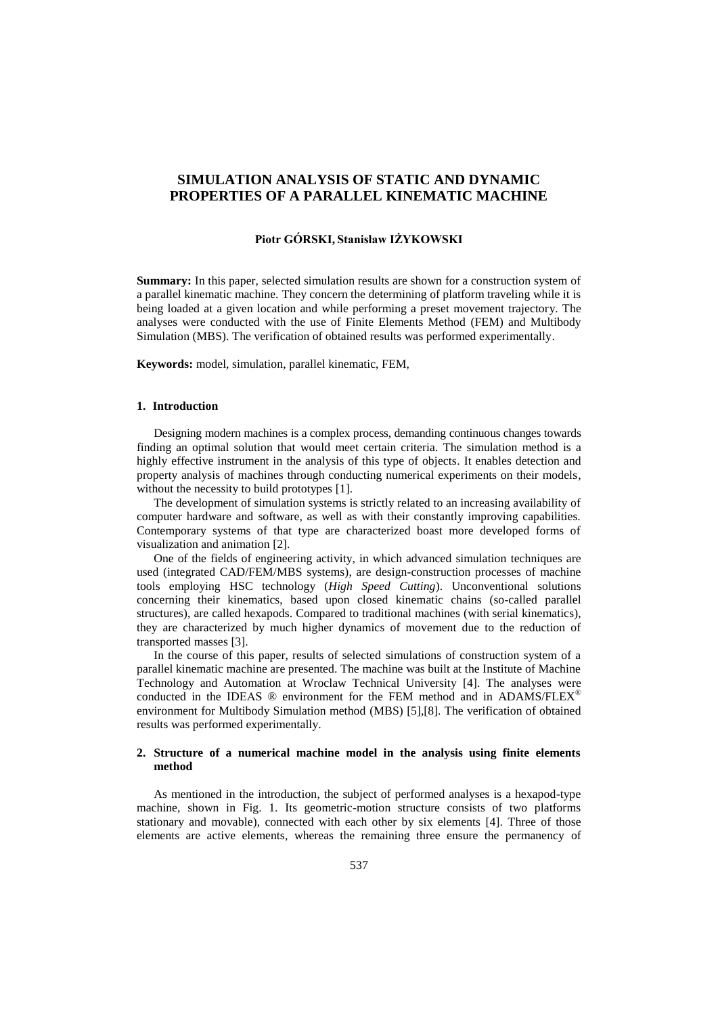# **SIMULATION ANALYSIS OF STATIC AND DYNAMIC PROPERTIES OF A PARALLEL KINEMATIC MACHINE**

### **Piotr GÓRSKI, Stanisław IŻYKOWSKI**

**Summary:** In this paper, selected simulation results are shown for a construction system of a parallel kinematic machine. They concern the determining of platform traveling while it is being loaded at a given location and while performing a preset movement trajectory. The analyses were conducted with the use of Finite Elements Method (FEM) and Multibody Simulation (MBS). The verification of obtained results was performed experimentally.

**Keywords:** model, simulation, parallel kinematic, FEM,

#### **1. Introduction**

Designing modern machines is a complex process, demanding continuous changes towards finding an optimal solution that would meet certain criteria. The simulation method is a highly effective instrument in the analysis of this type of objects. It enables detection and property analysis of machines through conducting numerical experiments on their models, without the necessity to build prototypes [1].

The development of simulation systems is strictly related to an increasing availability of computer hardware and software, as well as with their constantly improving capabilities. Contemporary systems of that type are characterized boast more developed forms of visualization and animation [2].

One of the fields of engineering activity, in which advanced simulation techniques are used (integrated CAD/FEM/MBS systems), are design-construction processes of machine tools employing HSC technology (*High Speed Cutting*). Unconventional solutions concerning their kinematics, based upon closed kinematic chains (so-called parallel structures), are called hexapods. Compared to traditional machines (with serial kinematics), they are characterized by much higher dynamics of movement due to the reduction of transported masses [3].

In the course of this paper, results of selected simulations of construction system of a parallel kinematic machine are presented. The machine was built at the Institute of Machine Technology and Automation at Wroclaw Technical University [4]. The analyses were conducted in the IDEAS  $\circledR$  environment for the FEM method and in ADAMS/FLEX $\circledR$ environment for Multibody Simulation method (MBS) [5],[8]. The verification of obtained results was performed experimentally.

## **2. Structure of a numerical machine model in the analysis using finite elements method**

As mentioned in the introduction, the subject of performed analyses is a hexapod-type machine, shown in Fig. 1. Its geometric-motion structure consists of two platforms stationary and movable), connected with each other by six elements [4]. Three of those elements are active elements, whereas the remaining three ensure the permanency of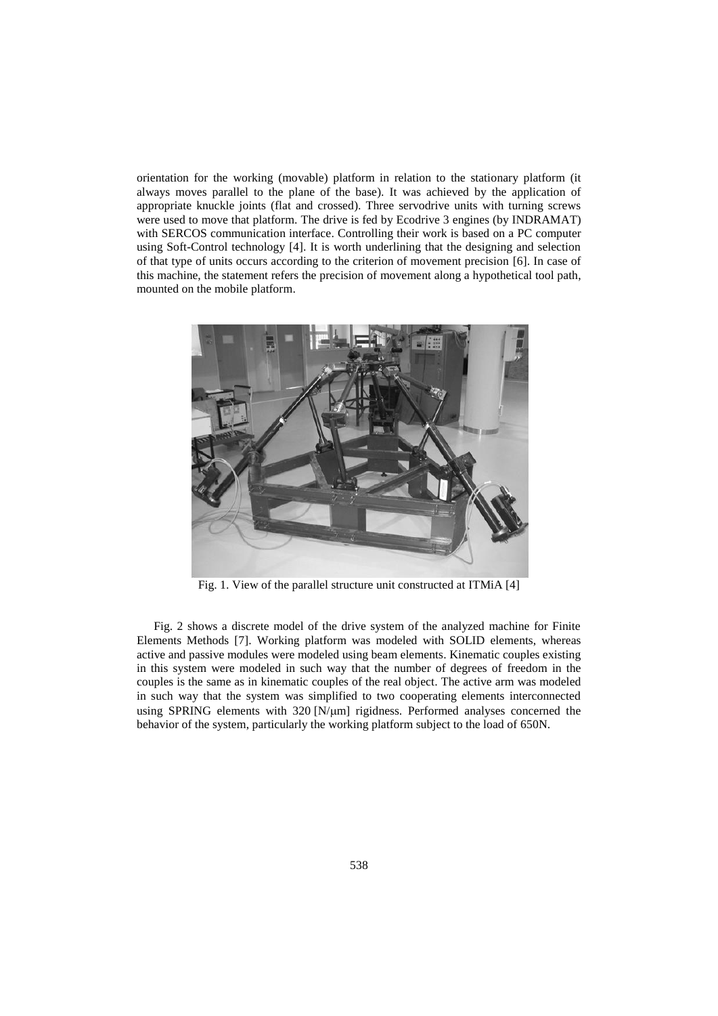orientation for the working (movable) platform in relation to the stationary platform (it always moves parallel to the plane of the base). It was achieved by the application of appropriate knuckle joints (flat and crossed). Three servodrive units with turning screws were used to move that platform. The drive is fed by Ecodrive 3 engines (by INDRAMAT) with SERCOS communication interface. Controlling their work is based on a PC computer using Soft-Control technology [4]. It is worth underlining that the designing and selection of that type of units occurs according to the criterion of movement precision [6]. In case of this machine, the statement refers the precision of movement along a hypothetical tool path, mounted on the mobile platform.



Fig. 1. View of the parallel structure unit constructed at ITMiA [4]

Fig. 2 shows a discrete model of the drive system of the analyzed machine for Finite Elements Methods [7]. Working platform was modeled with SOLID elements, whereas active and passive modules were modeled using beam elements. Kinematic couples existing in this system were modeled in such way that the number of degrees of freedom in the couples is the same as in kinematic couples of the real object. The active arm was modeled in such way that the system was simplified to two cooperating elements interconnected using SPRING elements with  $320$  [N/ $\mu$ m] rigidness. Performed analyses concerned the behavior of the system, particularly the working platform subject to the load of 650N.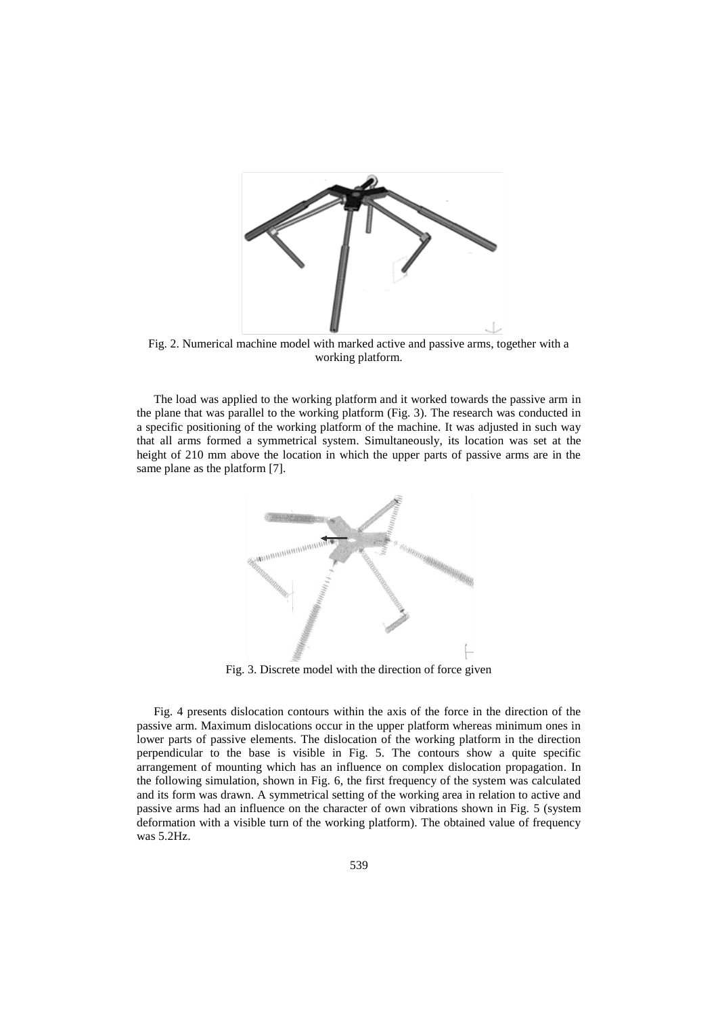

Fig. 2. Numerical machine model with marked active and passive arms, together with a working platform.

The load was applied to the working platform and it worked towards the passive arm in the plane that was parallel to the working platform (Fig. 3). The research was conducted in a specific positioning of the working platform of the machine. It was adjusted in such way that all arms formed a symmetrical system. Simultaneously, its location was set at the height of 210 mm above the location in which the upper parts of passive arms are in the same plane as the platform [7].



Fig. 3. Discrete model with the direction of force given

Fig. 4 presents dislocation contours within the axis of the force in the direction of the passive arm. Maximum dislocations occur in the upper platform whereas minimum ones in lower parts of passive elements. The dislocation of the working platform in the direction perpendicular to the base is visible in Fig. 5. The contours show a quite specific arrangement of mounting which has an influence on complex dislocation propagation. In the following simulation, shown in Fig. 6, the first frequency of the system was calculated and its form was drawn. A symmetrical setting of the working area in relation to active and passive arms had an influence on the character of own vibrations shown in Fig. 5 (system deformation with a visible turn of the working platform). The obtained value of frequency was 5.2Hz.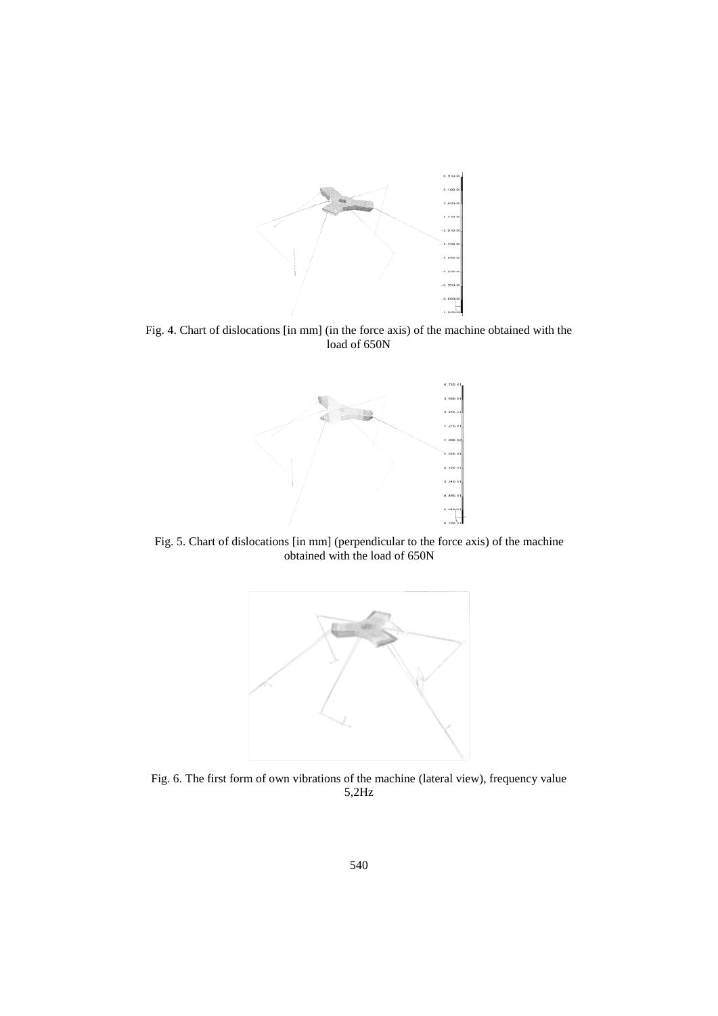

Fig. 4. Chart of dislocations [in mm] (in the force axis) of the machine obtained with the load of 650N



Fig. 5. Chart of dislocations [in mm] (perpendicular to the force axis) of the machine obtained with the load of 650N



Fig. 6. The first form of own vibrations of the machine (lateral view), frequency value 5,2Hz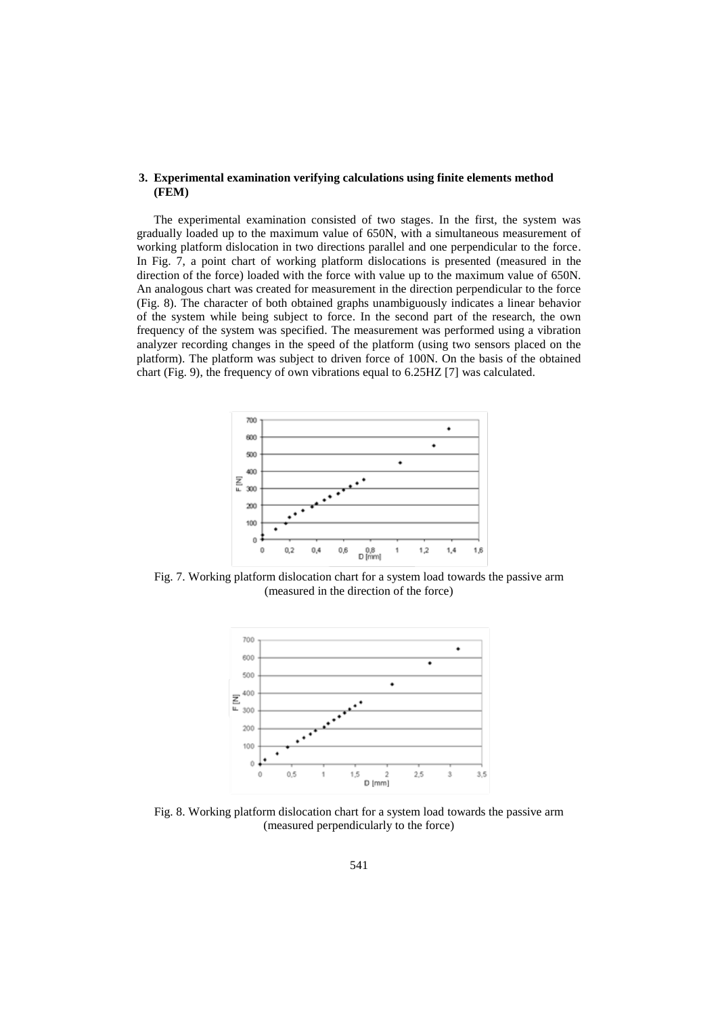#### **3. Experimental examination verifying calculations using finite elements method (FEM)**

The experimental examination consisted of two stages. In the first, the system was gradually loaded up to the maximum value of 650N, with a simultaneous measurement of working platform dislocation in two directions parallel and one perpendicular to the force. In Fig. 7, a point chart of working platform dislocations is presented (measured in the direction of the force) loaded with the force with value up to the maximum value of 650N. An analogous chart was created for measurement in the direction perpendicular to the force (Fig. 8). The character of both obtained graphs unambiguously indicates a linear behavior of the system while being subject to force. In the second part of the research, the own frequency of the system was specified. The measurement was performed using a vibration analyzer recording changes in the speed of the platform (using two sensors placed on the platform). The platform was subject to driven force of 100N. On the basis of the obtained chart (Fig. 9), the frequency of own vibrations equal to 6.25HZ [7] was calculated.



Fig. 7. Working platform dislocation chart for a system load towards the passive arm (measured in the direction of the force)



Fig. 8. Working platform dislocation chart for a system load towards the passive arm (measured perpendicularly to the force)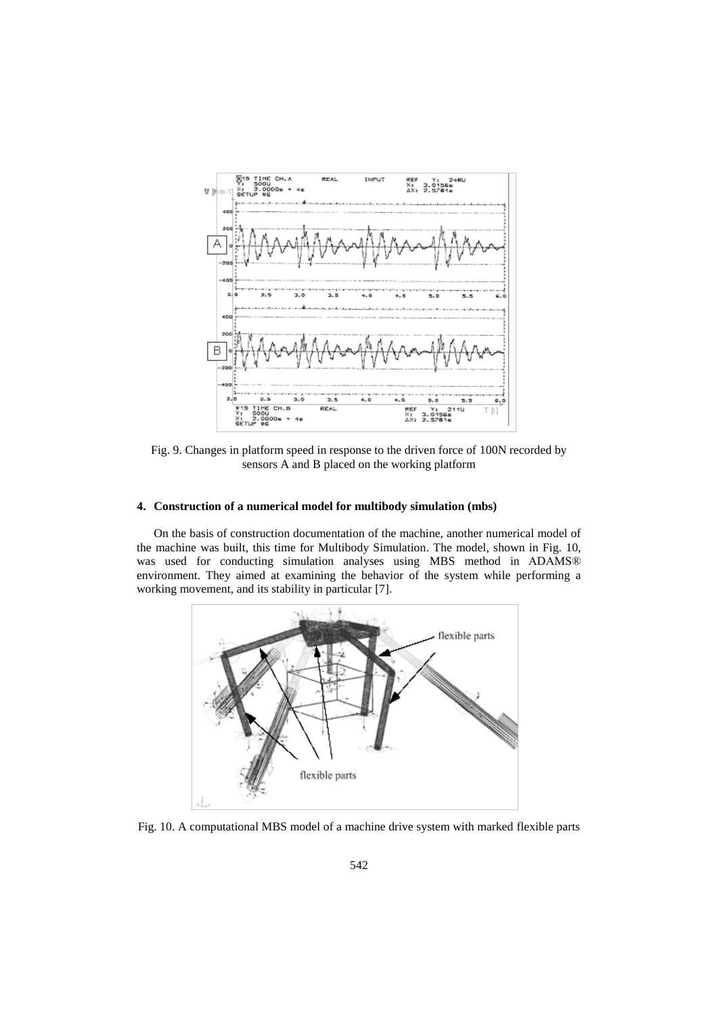

Fig. 9. Changes in platform speed in response to the driven force of 100N recorded by sensors A and B placed on the working platform

## **4. Construction of a numerical model for multibody simulation (mbs)**

On the basis of construction documentation of the machine, another numerical model of the machine was built, this time for Multibody Simulation. The model, shown in Fig. 10, was used for conducting simulation analyses using MBS method in ADAMS® environment. They aimed at examining the behavior of the system while performing a working movement, and its stability in particular [7].



Fig. 10. A computational MBS model of a machine drive system with marked flexible parts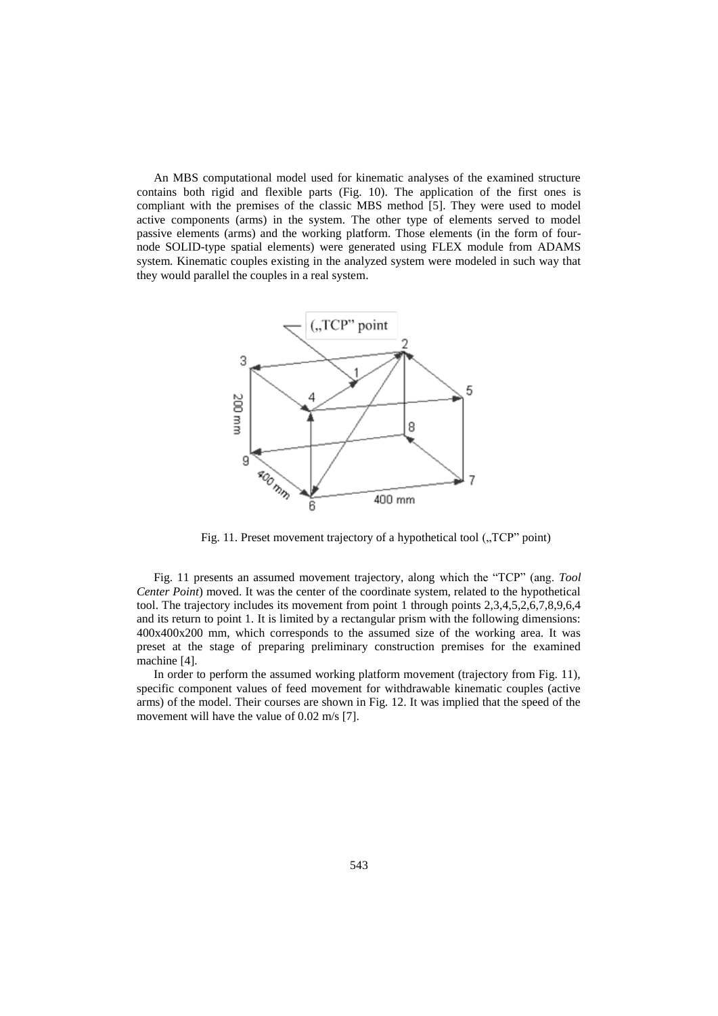An MBS computational model used for kinematic analyses of the examined structure contains both rigid and flexible parts (Fig. 10). The application of the first ones is compliant with the premises of the classic MBS method [5]. They were used to model active components (arms) in the system. The other type of elements served to model passive elements (arms) and the working platform. Those elements (in the form of fournode SOLID-type spatial elements) were generated using FLEX module from ADAMS system. Kinematic couples existing in the analyzed system were modeled in such way that they would parallel the couples in a real system.



Fig. 11. Preset movement trajectory of a hypothetical tool  $($ <sub>n</sub>TCP<sup>"</sup> point)

Fig. 11 presents an assumed movement trajectory, along which the "TCP" (ang. *Tool Center Point*) moved. It was the center of the coordinate system, related to the hypothetical tool. The trajectory includes its movement from point 1 through points 2,3,4,5,2,6,7,8,9,6,4 and its return to point 1. It is limited by a rectangular prism with the following dimensions: 400x400x200 mm, which corresponds to the assumed size of the working area. It was preset at the stage of preparing preliminary construction premises for the examined machine [4].

In order to perform the assumed working platform movement (trajectory from Fig. 11), specific component values of feed movement for withdrawable kinematic couples (active arms) of the model. Their courses are shown in Fig. 12. It was implied that the speed of the movement will have the value of 0.02 m/s [7].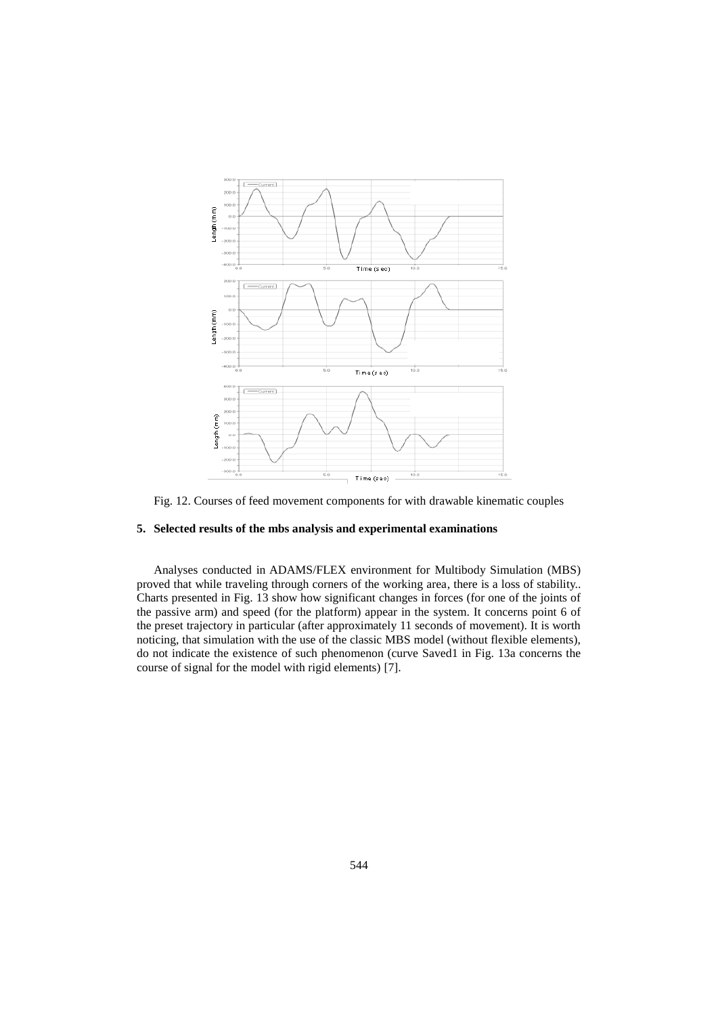

Fig. 12. Courses of feed movement components for with drawable kinematic couples

## **5. Selected results of the mbs analysis and experimental examinations**

Analyses conducted in ADAMS/FLEX environment for Multibody Simulation (MBS) proved that while traveling through corners of the working area, there is a loss of stability.. Charts presented in Fig. 13 show how significant changes in forces (for one of the joints of the passive arm) and speed (for the platform) appear in the system. It concerns point 6 of the preset trajectory in particular (after approximately 11 seconds of movement). It is worth noticing, that simulation with the use of the classic MBS model (without flexible elements), do not indicate the existence of such phenomenon (curve Saved1 in Fig. 13a concerns the course of signal for the model with rigid elements) [7].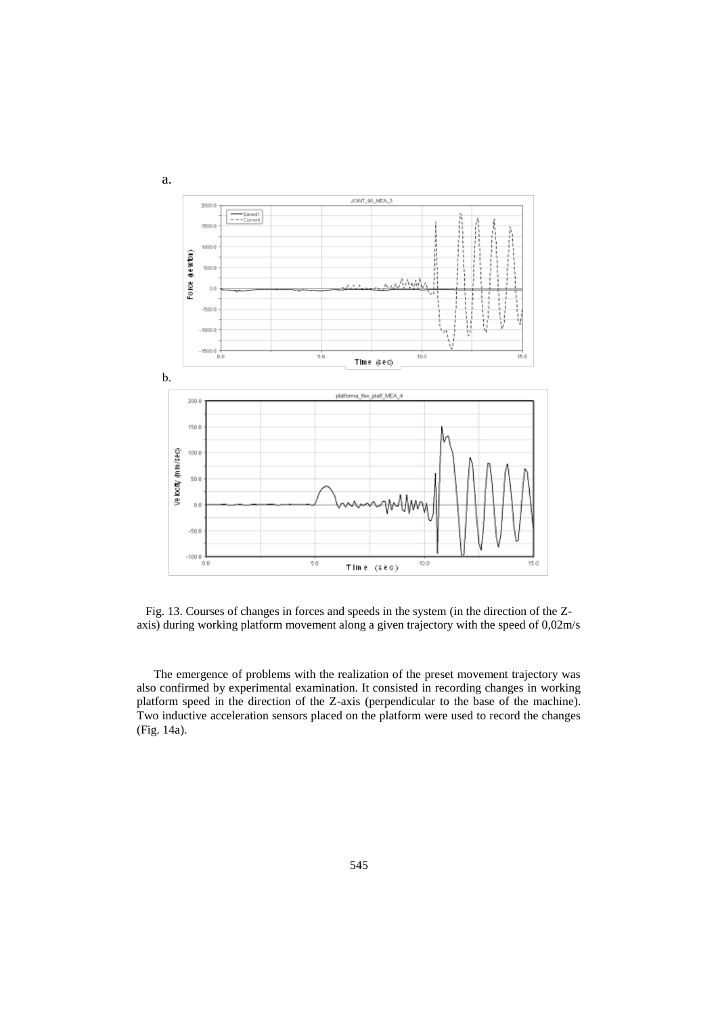

Fig. 13. Courses of changes in forces and speeds in the system (in the direction of the Zaxis) during working platform movement along a given trajectory with the speed of 0,02m/s

The emergence of problems with the realization of the preset movement trajectory was also confirmed by experimental examination. It consisted in recording changes in working platform speed in the direction of the Z-axis (perpendicular to the base of the machine). Two inductive acceleration sensors placed on the platform were used to record the changes (Fig. 14a).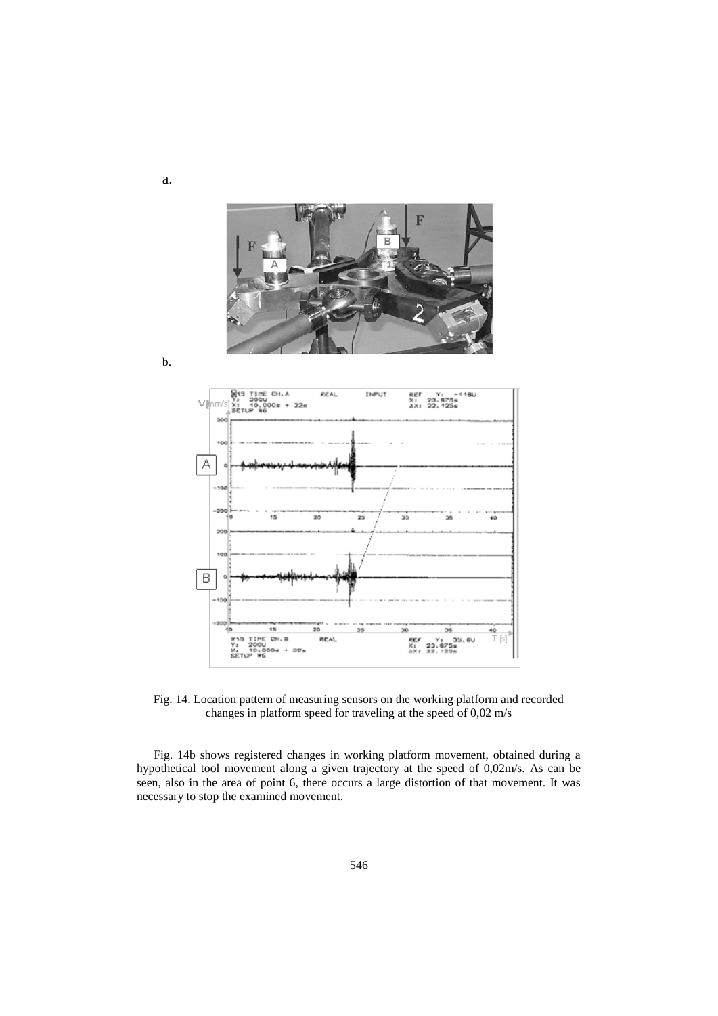

b.

a.



Fig. 14. Location pattern of measuring sensors on the working platform and recorded changes in platform speed for traveling at the speed of 0,02 m/s

Fig. 14b shows registered changes in working platform movement, obtained during a hypothetical tool movement along a given trajectory at the speed of 0,02m/s. As can be seen, also in the area of point 6, there occurs a large distortion of that movement. It was necessary to stop the examined movement.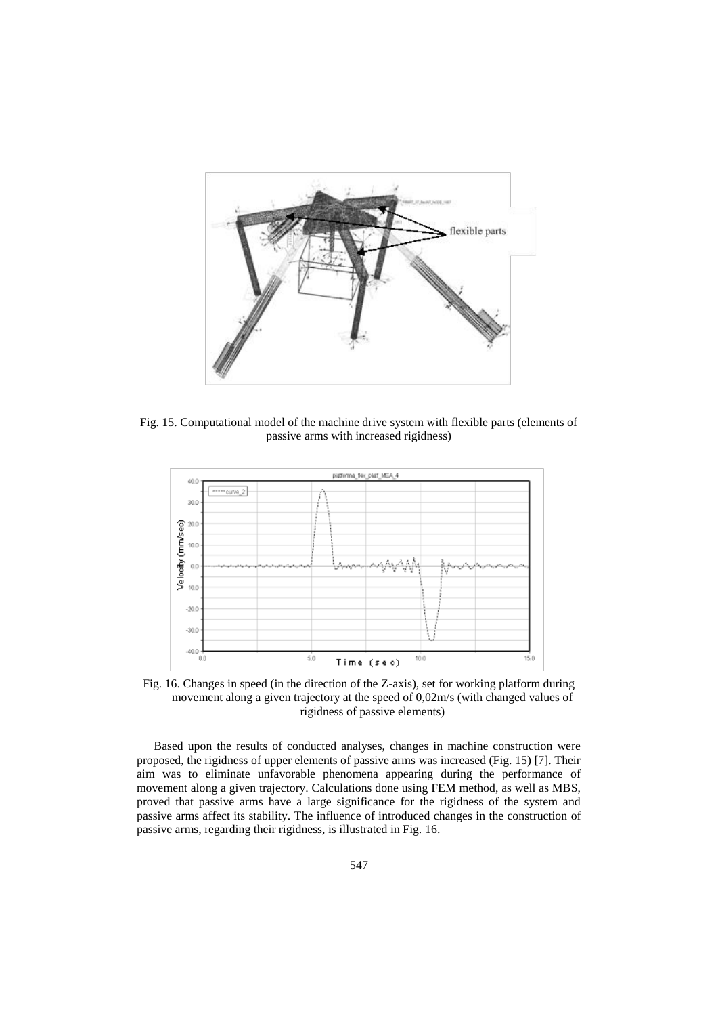

Fig. 15. Computational model of the machine drive system with flexible parts (elements of passive arms with increased rigidness)



Fig. 16. Changes in speed (in the direction of the Z-axis), set for working platform during movement along a given trajectory at the speed of 0,02m/s (with changed values of rigidness of passive elements)

Based upon the results of conducted analyses, changes in machine construction were proposed, the rigidness of upper elements of passive arms was increased (Fig. 15) [7]. Their aim was to eliminate unfavorable phenomena appearing during the performance of movement along a given trajectory. Calculations done using FEM method, as well as MBS, proved that passive arms have a large significance for the rigidness of the system and passive arms affect its stability. The influence of introduced changes in the construction of passive arms, regarding their rigidness, is illustrated in Fig. 16.